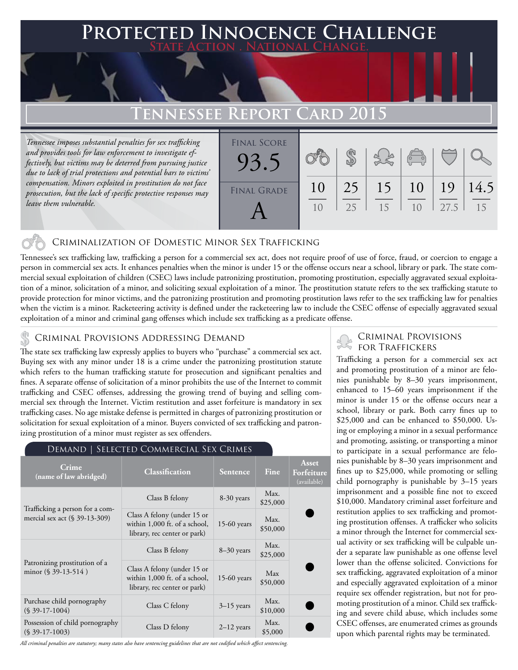## **FED INNOCENCE CHALLENGE State Action . National Change.**

## **Tennessee Report Card 2015**

*Tennessee imposes substantial penalties for sex trafficking and provides tools for law enforcement to investigate effectively, but victims may be deterred from pursuing justice due to lack of trial protections and potential bars to victims' compensation. Minors exploited in prostitution do not face prosecution, but the lack of specific protective responses may leave them vulnerable.* 

| <b>FINAL SCORE</b><br>93.5 |                |    |    | $\sqrt{2}$     |      |      |
|----------------------------|----------------|----|----|----------------|------|------|
| <b>FINAL GRADE</b>         | 10             | 25 | 15 | <b>10</b>      | 19   | 14.5 |
|                            | 1 <sub>0</sub> | 25 | 15 | 1 <sub>0</sub> | 27.5 | 15   |

## Criminalization of Domestic Minor Sex Trafficking

Tennessee's sex trafficking law, trafficking a person for a commercial sex act, does not require proof of use of force, fraud, or coercion to engage a person in commercial sex acts. It enhances penalties when the minor is under 15 or the offense occurs near a school, library or park. The state commercial sexual exploitation of children (CSEC) laws include patronizing prostitution, promoting prostitution, especially aggravated sexual exploitation of a minor, solicitation of a minor, and soliciting sexual exploitation of a minor. The prostitution statute refers to the sex trafficking statute to provide protection for minor victims, and the patronizing prostitution and promoting prostitution laws refer to the sex trafficking law for penalties when the victim is a minor. Racketeering activity is defined under the racketeering law to include the CSEC offense of especially aggravated sexual exploitation of a minor and criminal gang offenses which include sex trafficking as a predicate offense.

### CRIMINAL PROVISIONS ADDRESSING DEMAND

The state sex trafficking law expressly applies to buyers who "purchase" a commercial sex act. Buying sex with any minor under 18 is a crime under the patronizing prostitution statute which refers to the human trafficking statute for prosecution and significant penalties and fines. A separate offense of solicitation of a minor prohibits the use of the Internet to commit trafficking and CSEC offenses, addressing the growing trend of buying and selling commercial sex through the Internet. Victim restitution and asset forfeiture is mandatory in sex trafficking cases. No age mistake defense is permitted in charges of patronizing prostitution or solicitation for sexual exploitation of a minor. Buyers convicted of sex trafficking and patronizing prostitution of a minor must register as sex offenders.

| SELECTED COMMERCIAL SEX CRIMES<br>DEMAND                            |                                                                                              |                 |                  |                                    |  |  |  |  |
|---------------------------------------------------------------------|----------------------------------------------------------------------------------------------|-----------------|------------------|------------------------------------|--|--|--|--|
| Crime<br>(name of law abridged)                                     | <b>Classification</b>                                                                        | <b>Sentence</b> | Fine             | Asset<br>Forfeiture<br>(available) |  |  |  |  |
| Trafficking a person for a com-<br>mercial sex act $(\S 39-13-309)$ | Class B felony                                                                               | 8-30 years      | Max.<br>\$25,000 |                                    |  |  |  |  |
|                                                                     | Class A felony (under 15 or<br>within 1,000 ft. of a school,<br>library, rec center or park) | $15-60$ years   | Max.<br>\$50,000 |                                    |  |  |  |  |
| Patronizing prostitution of a<br>minor $(\S 39-13-514)$             | Class B felony                                                                               | $8 - 30$ years  | Max.<br>\$25,000 |                                    |  |  |  |  |
|                                                                     | Class A felony (under 15 or<br>within 1,000 ft. of a school,<br>library, rec center or park) | $15-60$ years   | Max<br>\$50,000  |                                    |  |  |  |  |
| Purchase child pornography<br>$(S$ 39-17-1004)                      | Class C felony                                                                               | $3-15$ years    | Max.<br>\$10,000 |                                    |  |  |  |  |
| Possession of child pornography<br>$(S$ 39-17-1003)                 | Class D felony                                                                               | $2-12$ years    | Max.<br>\$5,000  |                                    |  |  |  |  |

#### *All criminal penalties are statutory; many states also have sentencing guidelines that are not codified which affect sentencing.*

# Criminal Provisions

Trafficking a person for a commercial sex act and promoting prostitution of a minor are felonies punishable by 8–30 years imprisonment, enhanced to 15–60 years imprisonment if the minor is under 15 or the offense occurs near a school, library or park. Both carry fines up to \$25,000 and can be enhanced to \$50,000. Using or employing a minor in a sexual performance and promoting, assisting, or transporting a minor to participate in a sexual performance are felonies punishable by 8–30 years imprisonment and fines up to \$25,000, while promoting or selling child pornography is punishable by 3–15 years imprisonment and a possible fine not to exceed \$10,000. Mandatory criminal asset forfeiture and restitution applies to sex trafficking and promoting prostitution offenses. A trafficker who solicits a minor through the Internet for commercial sexual activity or sex trafficking will be culpable under a separate law punishable as one offense level lower than the offense solicited. Convictions for sex trafficking, aggravated exploitation of a minor and especially aggravated exploitation of a minor require sex offender registration, but not for promoting prostitution of a minor. Child sex trafficking and severe child abuse, which includes some CSEC offenses, are enumerated crimes as grounds upon which parental rights may be terminated.